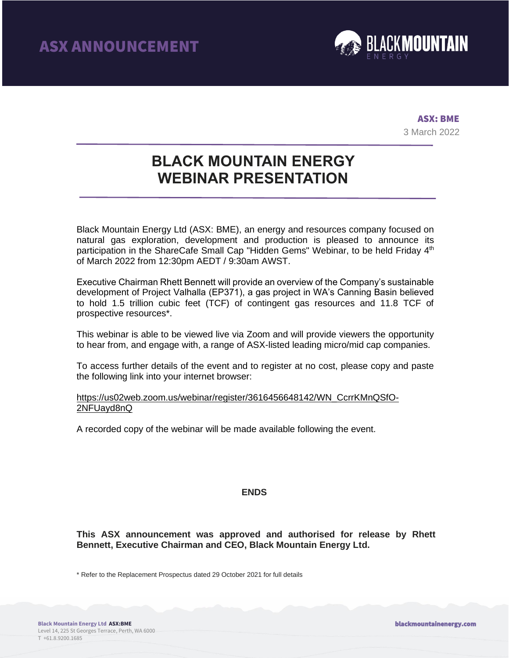

ASX: BME 3 March 2022

## **BLACK MOUNTAIN ENERGY WEBINAR PRESENTATION**

Black Mountain Energy Ltd (ASX: BME), an energy and resources company focused on natural gas exploration, development and production is pleased to announce its participation in the ShareCafe Small Cap "Hidden Gems" Webinar, to be held Friday 4<sup>th</sup> of March 2022 from 12:30pm AEDT / 9:30am AWST.

Executive Chairman Rhett Bennett will provide an overview of the Company's sustainable development of Project Valhalla (EP371), a gas project in WA's Canning Basin believed to hold 1.5 trillion cubic feet (TCF) of contingent gas resources and 11.8 TCF of prospective resources\*.

This webinar is able to be viewed live via Zoom and will provide viewers the opportunity to hear from, and engage with, a range of ASX-listed leading micro/mid cap companies.

To access further details of the event and to register at no cost, please copy and paste the following link into your internet browser:

### [https://us02web.zoom.us/webinar/register/3616456648142/WN\\_CcrrKMnQSfO-](https://us02web.zoom.us/webinar/register/3616456648142/WN_CcrrKMnQSfO-2NFUayd8nQ)[2NFUayd8nQ](https://us02web.zoom.us/webinar/register/3616456648142/WN_CcrrKMnQSfO-2NFUayd8nQ)

A recorded copy of the webinar will be made available following the event.

### **ENDS**

**This ASX announcement was approved and authorised for release by Rhett Bennett, Executive Chairman and CEO, Black Mountain Energy Ltd.**

\* Refer to the Replacement Prospectus dated 29 October 2021 for full details

blackmountainenergy.com